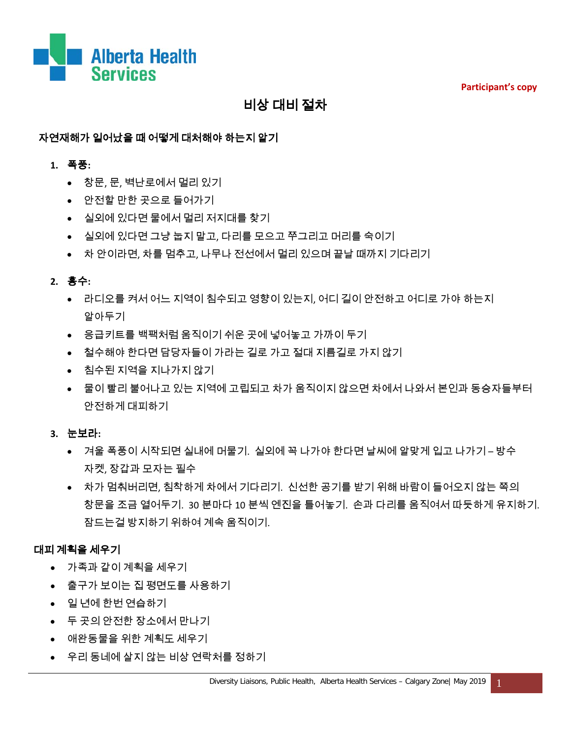**Participant's copy**



# 비상 대비 절차

## 자연재해가 일어났을 때 어떻게 대처해야 하는지 알기

### **1.** 폭풍**:**

- 창문, 문, 벽난로에서 멀리 있기
- 안전할 만한 곳으로 들어가기
- 실외에 있다면 물에서 멀리 저지대를 찾기
- 실외에 있다면 그냥 눕지 말고, 다리를 모으고 쭈그리고 머리를 숙이기
- 차 안이라면, 차를 멈추고, 나무나 전선에서 멀리 있으며 끝날 때까지 기다리기

### **2.** 홍수**:**

- 라디오를 켜서 어느 지역이 침수되고 영향이 있는지, 어디 길이 안전하고 어디로 가야 하는지 알아두기
- 응급키트를 백팩처럼 움직이기 쉬운 곳에 넣어놓고 가까이 두기
- 철수해야 한다면 담당자들이 가라는 길로 가고 절대 지름길로 가지 않기
- 침수된 지역을 지나가지 않기
- 물이 빨리 불어나고 있는 지역에 고립되고 차가 움직이지 않으면 차에서 나와서 본인과 동승자들부터 안전하게 대피하기

### **3.** 눈보라**:**

- 겨울 폭풍이 시작되면 실내에 머물기. 실외에 꼭 나가야 한다면 날씨에 알맞게 입고 나가기 방수 자켓, 장갑과 모자는 필수
- 차가 멈춰버리면, 침착하게 차에서 기다리기. 신선한 공기를 받기 위해 바람이 들어오지 않는 쪽의 창문을 조금 열어두기. 30 분마다 10 분씩 엔진을 틀어놓기. 손과 다리를 움직여서 따듯하게 유지하기. 잠드는걸 방지하기 위하여 계속 움직이기.

## 대피 계획을 세우기

- 가족과 같이 계획을 세우기
- 출구가 보이는 집 평면도를 사용하기
- 일 년에 한번 연습하기
- 두 곳의 안전한 장소에서 만나기
- 애완동물을 위한 계획도 세우기
- 우리 동네에 살지 않는 비상 연락처를 정하기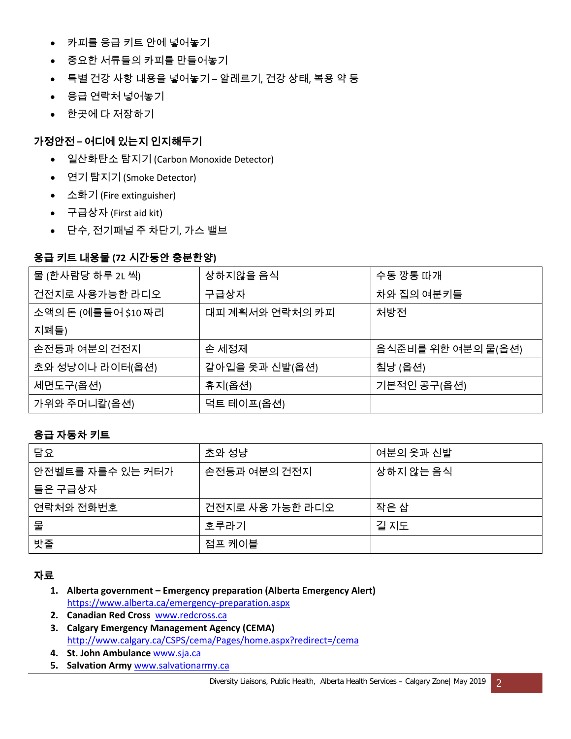- 카피를 응급 키트 안에 넣어놓기
- 중요한 서류들의 카피를 만들어놓기
- 특별 건강 사항 내용을 넣어놓기 알레르기, 건강 상태, 복용 약 등
- 응급 연락처 넣어놓기
- 한곳에 다 저장하기

## 가정안전 **–** 어디에 있는지 인지해두기

- 일산화탄소 탐지기 (Carbon Monoxide Detector)
- 연기 탐지기 (Smoke Detector)
- 소화기 (Fire extinguisher)
- 구급상자 (First aid kit)
- 단수, 전기패널 주 차단기, 가스 밸브

## 응급 키트 내용물 **(72** 시간동안 충분한양**)**

| 물 (한사람당 하루 2L 씩)    | 상하지않을 음식        | 수동 깡통 따개           |
|---------------------|-----------------|--------------------|
| 건전지로 사용가능한 라디오      | 구급상자            | 차와 집의 여분키들         |
| 소액의 돈 (예를들어 \$10 짜리 | 대피 계획서와 연락처의 카피 | 처방전                |
| 지폐들)                |                 |                    |
| 손전등과 여분의 건전지        | 손 세정제           | 음식준비를 위한 여분의 물(옵션) |
| 초와 성냥이나 라이터(옵션)     | 갈아입을 옷과 신발(옵션)  | 침낭 (옵션)            |
| 세면도구(옵션)            | 휴지(옵션)          | 기본적인 공구(옵션)        |
| 가위와 주머니칼(옵션)        | 덕트 테이프(옵션)      |                    |

## 응급 자동차 키트

| 담요               | 초와 성냥           | 여분의 옷과 신발 |
|------------------|-----------------|-----------|
| 안전벨트를 자를수 있는 커터가 | 손전등과 여분의 건전지    | 상하지 않는 음식 |
| 들은 구급상자          |                 |           |
| 연락처와 전화번호        | 건전지로 사용 가능한 라디오 | 작은 삽      |
| 물                | 호루라기            | 길 지도      |
| 밧줄               | 점프 케이블          |           |

### 자료

- **1. Alberta government – Emergency preparation (Alberta Emergency Alert)** <https://www.alberta.ca/emergency-preparation.aspx>
- **2. Canadian Red Cross** [www.redcross.ca](http://www.redcross.ca/)
- **3. Calgary Emergency Management Agency (CEMA)** <http://www.calgary.ca/CSPS/cema/Pages/home.aspx?redirect=/cema>
- **4. St. John Ambulance** [www.sja.ca](http://www.sja.ca/)
- **5. Salvation Army** [www.salvationarmy.ca](http://www.salvationarmy.ca/)